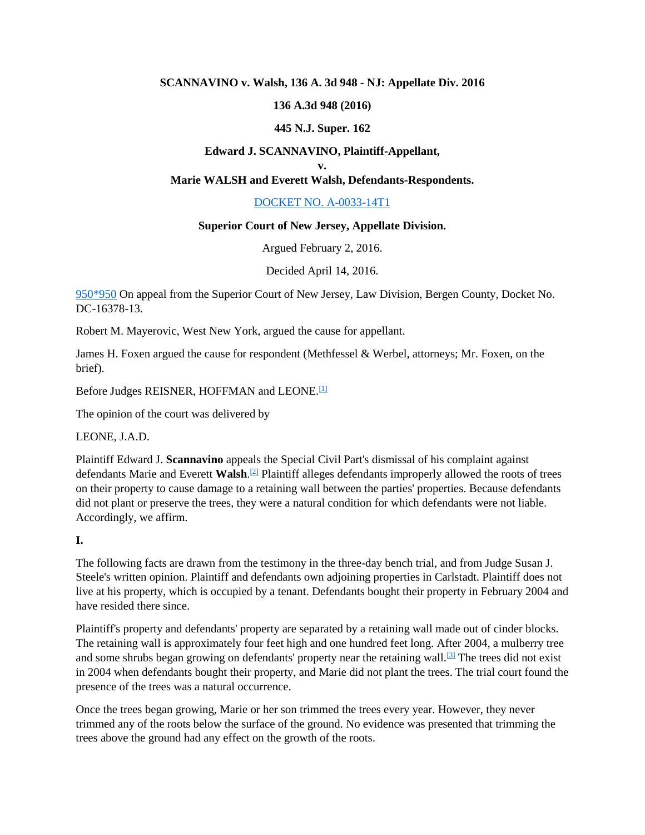### **SCANNAVINO v. Walsh, 136 A. 3d 948 - NJ: Appellate Div. 2016**

### **136 A.3d 948 (2016)**

### **445 N.J. Super. 162**

### **Edward J. SCANNAVINO, Plaintiff-Appellant,**

#### **v.**

## **Marie WALSH and Everett Walsh, Defendants-Respondents.**

## [DOCKET NO. A-0033-14T1](https://scholar.google.com/scholar?scidkt=6470147482452010620&as_sdt=2&hl=en)

#### **Superior Court of New Jersey, Appellate Division.**

Argued February 2, 2016.

Decided April 14, 2016.

[950\\*950](https://scholar.google.com/scholar_case?case=8966018736748328411&q=Scannavino+v.+Walsh&hl=en&as_sdt=6,31#p950) On appeal from the Superior Court of New Jersey, Law Division, Bergen County, Docket No. DC-16378-13.

Robert M. Mayerovic, West New York, argued the cause for appellant.

James H. Foxen argued the cause for respondent (Methfessel & Werbel, attorneys; Mr. Foxen, on the brief).

Before Judges REISNER, HOFFMAN and LEONE.<sup>[\[1\]](https://scholar.google.com/scholar_case?case=8966018736748328411&q=Scannavino+v.+Walsh&hl=en&as_sdt=6,31#[1])</sup>

The opinion of the court was delivered by

LEONE, J.A.D.

Plaintiff Edward J. **Scannavino** appeals the Special Civil Part's dismissal of his complaint against defendants Marie and Everett **Walsh**. [\[2\]](https://scholar.google.com/scholar_case?case=8966018736748328411&q=Scannavino+v.+Walsh&hl=en&as_sdt=6,31#[2]) Plaintiff alleges defendants improperly allowed the roots of trees on their property to cause damage to a retaining wall between the parties' properties. Because defendants did not plant or preserve the trees, they were a natural condition for which defendants were not liable. Accordingly, we affirm.

### **I.**

The following facts are drawn from the testimony in the three-day bench trial, and from Judge Susan J. Steele's written opinion. Plaintiff and defendants own adjoining properties in Carlstadt. Plaintiff does not live at his property, which is occupied by a tenant. Defendants bought their property in February 2004 and have resided there since.

Plaintiff's property and defendants' property are separated by a retaining wall made out of cinder blocks. The retaining wall is approximately four feet high and one hundred feet long. After 2004, a mulberry tree and some shrubs began growing on defendants' property near the retaining wall.<sup>[\[3\]](https://scholar.google.com/scholar_case?case=8966018736748328411&q=Scannavino+v.+Walsh&hl=en&as_sdt=6,31#[3])</sup> The trees did not exist in 2004 when defendants bought their property, and Marie did not plant the trees. The trial court found the presence of the trees was a natural occurrence.

Once the trees began growing, Marie or her son trimmed the trees every year. However, they never trimmed any of the roots below the surface of the ground. No evidence was presented that trimming the trees above the ground had any effect on the growth of the roots.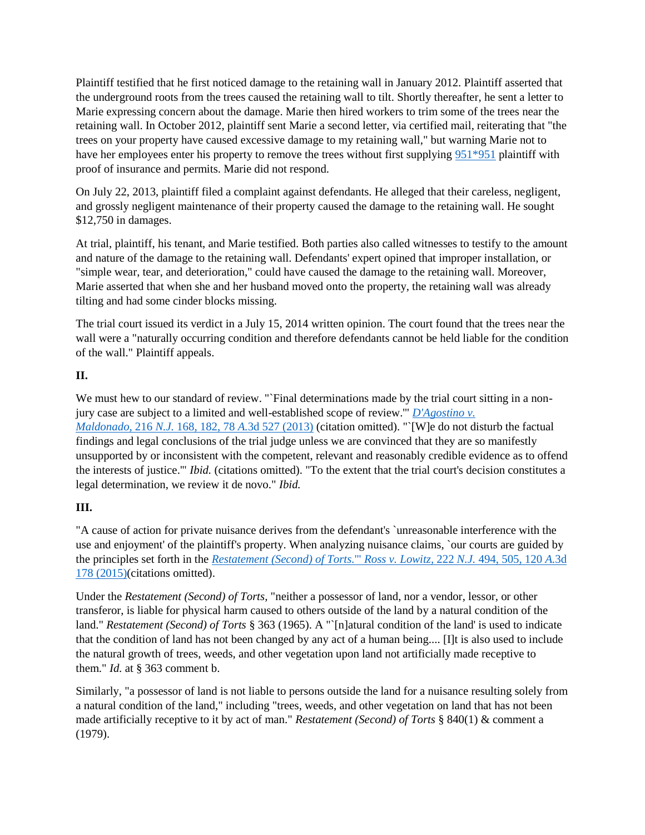Plaintiff testified that he first noticed damage to the retaining wall in January 2012. Plaintiff asserted that the underground roots from the trees caused the retaining wall to tilt. Shortly thereafter, he sent a letter to Marie expressing concern about the damage. Marie then hired workers to trim some of the trees near the retaining wall. In October 2012, plaintiff sent Marie a second letter, via certified mail, reiterating that "the trees on your property have caused excessive damage to my retaining wall," but warning Marie not to have her employees enter his property to remove the trees without first supplying [951\\*951](https://scholar.google.com/scholar_case?case=8966018736748328411&q=Scannavino+v.+Walsh&hl=en&as_sdt=6,31#p951) plaintiff with proof of insurance and permits. Marie did not respond.

On July 22, 2013, plaintiff filed a complaint against defendants. He alleged that their careless, negligent, and grossly negligent maintenance of their property caused the damage to the retaining wall. He sought \$12,750 in damages.

At trial, plaintiff, his tenant, and Marie testified. Both parties also called witnesses to testify to the amount and nature of the damage to the retaining wall. Defendants' expert opined that improper installation, or "simple wear, tear, and deterioration," could have caused the damage to the retaining wall. Moreover, Marie asserted that when she and her husband moved onto the property, the retaining wall was already tilting and had some cinder blocks missing.

The trial court issued its verdict in a July 15, 2014 written opinion. The court found that the trees near the wall were a "naturally occurring condition and therefore defendants cannot be held liable for the condition of the wall." Plaintiff appeals.

## **II.**

We must hew to our standard of review. "`Final determinations made by the trial court sitting in a nonjury case are subject to a limited and well-established scope of review.'" *[D'Agostino v.](https://scholar.google.com/scholar_case?case=11780080717836765293&q=Scannavino+v.+Walsh&hl=en&as_sdt=6,31)  Maldonado,* 216 *N.J.* 168, 182, 78 *A.*[3d 527 \(2013\)](https://scholar.google.com/scholar_case?case=11780080717836765293&q=Scannavino+v.+Walsh&hl=en&as_sdt=6,31) (citation omitted). "`[W]e do not disturb the factual findings and legal conclusions of the trial judge unless we are convinced that they are so manifestly unsupported by or inconsistent with the competent, relevant and reasonably credible evidence as to offend the interests of justice.'" *Ibid.* (citations omitted). "To the extent that the trial court's decision constitutes a legal determination, we review it de novo." *Ibid.*

# **III.**

"A cause of action for private nuisance derives from the defendant's `unreasonable interference with the use and enjoyment' of the plaintiff's property. When analyzing nuisance claims, `our courts are guided by the principles set forth in the *[Restatement \(Second\) of Torts.](https://scholar.google.com/scholar_case?case=2043621961477717634&q=Scannavino+v.+Walsh&hl=en&as_sdt=6,31)*'" *Ross v. Lowitz,* 222 *N.J.* 494, 505, 120 *A.*3d [178 \(2015\)\(](https://scholar.google.com/scholar_case?case=2043621961477717634&q=Scannavino+v.+Walsh&hl=en&as_sdt=6,31)citations omitted).

Under the *Restatement (Second) of Torts,* "neither a possessor of land, nor a vendor, lessor, or other transferor, is liable for physical harm caused to others outside of the land by a natural condition of the land." *Restatement (Second) of Torts* § 363 (1965). A "`[n]atural condition of the land' is used to indicate that the condition of land has not been changed by any act of a human being.... [I]t is also used to include the natural growth of trees, weeds, and other vegetation upon land not artificially made receptive to them." *Id.* at § 363 comment b.

Similarly, "a possessor of land is not liable to persons outside the land for a nuisance resulting solely from a natural condition of the land," including "trees, weeds, and other vegetation on land that has not been made artificially receptive to it by act of man." *Restatement (Second) of Torts* § 840(1) & comment a (1979).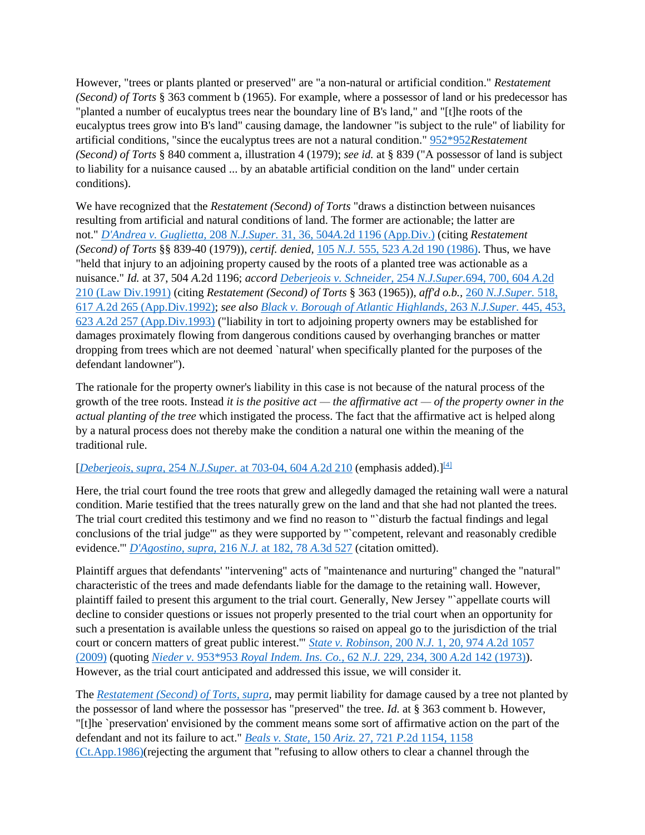However, "trees or plants planted or preserved" are "a non-natural or artificial condition." *Restatement (Second) of Torts* § 363 comment b (1965). For example, where a possessor of land or his predecessor has "planted a number of eucalyptus trees near the boundary line of B's land," and "[t]he roots of the eucalyptus trees grow into B's land" causing damage, the landowner "is subject to the rule" of liability for artificial conditions, "since the eucalyptus trees are not a natural condition." [952\\*952](https://scholar.google.com/scholar_case?case=8966018736748328411&q=Scannavino+v.+Walsh&hl=en&as_sdt=6,31#p952)*Restatement (Second) of Torts* § 840 comment a, illustration 4 (1979); *see id.* at § 839 ("A possessor of land is subject to liability for a nuisance caused ... by an abatable artificial condition on the land" under certain conditions).

We have recognized that the *Restatement (Second) of Torts* "draws a distinction between nuisances resulting from artificial and natural conditions of land. The former are actionable; the latter are not." *[D'Andrea v. Guglietta,](https://scholar.google.com/scholar_case?case=6186072703436165025&q=Scannavino+v.+Walsh&hl=en&as_sdt=6,31)* 208 *N.J.Super.* 31, 36, 504*A.*2d 1196 (App.Div.) (citing *Restatement (Second) of Torts* §§ 839-40 (1979)), *certif. denied,* 105 *N.J.* 555, 523 *A.*[2d 190 \(1986\).](https://scholar.google.com/scholar_case?case=5202998042372035757&q=Scannavino+v.+Walsh&hl=en&as_sdt=6,31) Thus, we have "held that injury to an adjoining property caused by the roots of a planted tree was actionable as a nuisance." *Id.* at 37, 504 *A.*2d 1196; *accord [Deberjeois v. Schneider,](https://scholar.google.com/scholar_case?case=3977409319848971662&q=Scannavino+v.+Walsh&hl=en&as_sdt=6,31)* 254 *N.J.Super.*694, 700, 604 *A.*2d [210 \(Law Div.1991\)](https://scholar.google.com/scholar_case?case=3977409319848971662&q=Scannavino+v.+Walsh&hl=en&as_sdt=6,31) (citing *Restatement (Second) of Torts* § 363 (1965)), *aff'd o.b.,* 260 *[N.J.Super.](https://scholar.google.com/scholar_case?case=3496970768891919193&q=Scannavino+v.+Walsh&hl=en&as_sdt=6,31)* 518, 617 *A.*[2d 265 \(App.Div.1992\);](https://scholar.google.com/scholar_case?case=3496970768891919193&q=Scannavino+v.+Walsh&hl=en&as_sdt=6,31) *see also [Black v. Borough of Atlantic Highlands,](https://scholar.google.com/scholar_case?case=16655628376114500840&q=Scannavino+v.+Walsh&hl=en&as_sdt=6,31)* 263 *N.J.Super.* 445, 453, 623 *A.*[2d 257 \(App.Div.1993\)](https://scholar.google.com/scholar_case?case=16655628376114500840&q=Scannavino+v.+Walsh&hl=en&as_sdt=6,31) ("liability in tort to adjoining property owners may be established for damages proximately flowing from dangerous conditions caused by overhanging branches or matter dropping from trees which are not deemed `natural' when specifically planted for the purposes of the defendant landowner").

The rationale for the property owner's liability in this case is not because of the natural process of the growth of the tree roots. Instead *it is the positive act — the affirmative act — of the property owner in the actual planting of the tree* which instigated the process. The fact that the affirmative act is helped along by a natural process does not thereby make the condition a natural one within the meaning of the traditional rule.

## [*[Deberjeois, supra,](https://scholar.google.com/scholar_case?case=3977409319848971662&q=Scannavino+v.+Walsh&hl=en&as_sdt=6,31)* 254 *N.J.Super.* at 703-04, 604 *A.*2d 210 (emphasis added).][\[4\]](https://scholar.google.com/scholar_case?case=8966018736748328411&q=Scannavino+v.+Walsh&hl=en&as_sdt=6,31#[4])

Here, the trial court found the tree roots that grew and allegedly damaged the retaining wall were a natural condition. Marie testified that the trees naturally grew on the land and that she had not planted the trees. The trial court credited this testimony and we find no reason to "`disturb the factual findings and legal conclusions of the trial judge'" as they were supported by "`competent, relevant and reasonably credible evidence.'" *[D'Agostino, supra,](https://scholar.google.com/scholar_case?case=11780080717836765293&q=Scannavino+v.+Walsh&hl=en&as_sdt=6,31)* 216 *N.J.* at 182, 78 *A.*3d 527 (citation omitted).

Plaintiff argues that defendants' "intervening" acts of "maintenance and nurturing" changed the "natural" characteristic of the trees and made defendants liable for the damage to the retaining wall. However, plaintiff failed to present this argument to the trial court. Generally, New Jersey "`appellate courts will decline to consider questions or issues not properly presented to the trial court when an opportunity for such a presentation is available unless the questions so raised on appeal go to the jurisdiction of the trial court or concern matters of great public interest.'" *[State v. Robinson,](https://scholar.google.com/scholar_case?case=10417269709388598922&q=Scannavino+v.+Walsh&hl=en&as_sdt=6,31)* 200 *N.J.* 1, 20, 974 *A.*2d 1057 [\(2009\)](https://scholar.google.com/scholar_case?case=10417269709388598922&q=Scannavino+v.+Walsh&hl=en&as_sdt=6,31) (quoting *[Nieder v.](https://scholar.google.com/scholar_case?case=13503323109249862804&q=Scannavino+v.+Walsh&hl=en&as_sdt=6,31)* [953](https://scholar.google.com/scholar_case?case=13503323109249862804&q=Scannavino+v.+Walsh&hl=en&as_sdt=6,31)[\\*953](https://scholar.google.com/scholar_case?case=8966018736748328411&q=Scannavino+v.+Walsh&hl=en&as_sdt=6,31#p953) *[Royal Indem. Ins. Co.,](https://scholar.google.com/scholar_case?case=8966018736748328411&q=Scannavino+v.+Walsh&hl=en&as_sdt=6,31#p953)* 62 *N.J.* 229, 234, 300 *A.*2d 142 (1973)). However, as the trial court anticipated and addressed this issue, we will consider it.

The *[Restatement \(Second\) of Torts, supra,](https://scholar.google.com/scholar_case?case=2043621961477717634&q=Scannavino+v.+Walsh&hl=en&as_sdt=6,31)* may permit liability for damage caused by a tree not planted by the possessor of land where the possessor has "preserved" the tree. *Id.* at § 363 comment b. However, "[t]he `preservation' envisioned by the comment means some sort of affirmative action on the part of the defendant and not its failure to act." *Beals v. State,* 150 *Ariz.* 27, 721 *P.*[2d 1154, 1158](https://scholar.google.com/scholar_case?case=12472507180103516982&q=Scannavino+v.+Walsh&hl=en&as_sdt=6,31)  [\(Ct.App.1986\)\(](https://scholar.google.com/scholar_case?case=12472507180103516982&q=Scannavino+v.+Walsh&hl=en&as_sdt=6,31)rejecting the argument that "refusing to allow others to clear a channel through the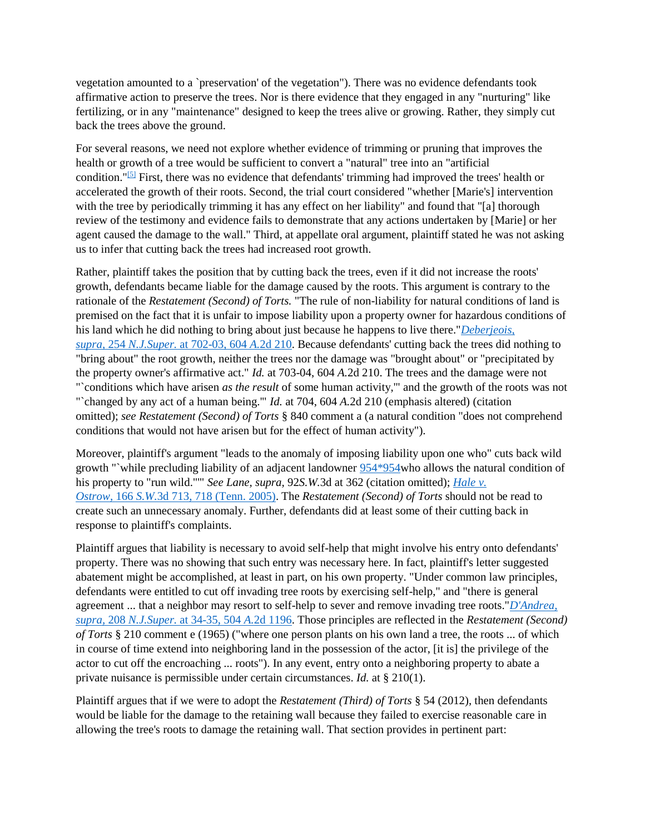vegetation amounted to a `preservation' of the vegetation"). There was no evidence defendants took affirmative action to preserve the trees. Nor is there evidence that they engaged in any "nurturing" like fertilizing, or in any "maintenance" designed to keep the trees alive or growing. Rather, they simply cut back the trees above the ground.

For several reasons, we need not explore whether evidence of trimming or pruning that improves the health or growth of a tree would be sufficient to convert a "natural" tree into an "artificial condition."[\[5\]](https://scholar.google.com/scholar_case?case=8966018736748328411&q=Scannavino+v.+Walsh&hl=en&as_sdt=6,31#[5]) First, there was no evidence that defendants' trimming had improved the trees' health or accelerated the growth of their roots. Second, the trial court considered "whether [Marie's] intervention with the tree by periodically trimming it has any effect on her liability" and found that "[a] thorough review of the testimony and evidence fails to demonstrate that any actions undertaken by [Marie] or her agent caused the damage to the wall." Third, at appellate oral argument, plaintiff stated he was not asking us to infer that cutting back the trees had increased root growth.

Rather, plaintiff takes the position that by cutting back the trees, even if it did not increase the roots' growth, defendants became liable for the damage caused by the roots. This argument is contrary to the rationale of the *Restatement (Second) of Torts.* "The rule of non-liability for natural conditions of land is premised on the fact that it is unfair to impose liability upon a property owner for hazardous conditions of his land which he did nothing to bring about just because he happens to live there."*[Deberjeois,](https://scholar.google.com/scholar_case?case=3977409319848971662&q=Scannavino+v.+Walsh&hl=en&as_sdt=6,31)  supra,* 254 *N.J.Super.* [at 702-03, 604](https://scholar.google.com/scholar_case?case=3977409319848971662&q=Scannavino+v.+Walsh&hl=en&as_sdt=6,31) *A.*2d 210. Because defendants' cutting back the trees did nothing to "bring about" the root growth, neither the trees nor the damage was "brought about" or "precipitated by the property owner's affirmative act." *Id.* at 703-04, 604 *A.*2d 210. The trees and the damage were not "`conditions which have arisen *as the result* of some human activity,'" and the growth of the roots was not "`changed by any act of a human being.'" *Id.* at 704, 604 *A.*2d 210 (emphasis altered) (citation omitted); *see Restatement (Second) of Torts* § 840 comment a (a natural condition "does not comprehend conditions that would not have arisen but for the effect of human activity").

Moreover, plaintiff's argument "leads to the anomaly of imposing liability upon one who" cuts back wild growth "`while precluding liability of an adjacent landowner [954\\*954w](https://scholar.google.com/scholar_case?case=8966018736748328411&q=Scannavino+v.+Walsh&hl=en&as_sdt=6,31#p954)ho allows the natural condition of his property to "run wild."'" *See Lane, supra,* 92*S.W.*3d at 362 (citation omitted); *[Hale v.](https://scholar.google.com/scholar_case?case=13348908061586089552&q=Scannavino+v.+Walsh&hl=en&as_sdt=6,31)  Ostrow,* 166 *S.W.*[3d 713, 718 \(Tenn. 2005\).](https://scholar.google.com/scholar_case?case=13348908061586089552&q=Scannavino+v.+Walsh&hl=en&as_sdt=6,31) The *Restatement (Second) of Torts* should not be read to create such an unnecessary anomaly. Further, defendants did at least some of their cutting back in response to plaintiff's complaints.

Plaintiff argues that liability is necessary to avoid self-help that might involve his entry onto defendants' property. There was no showing that such entry was necessary here. In fact, plaintiff's letter suggested abatement might be accomplished, at least in part, on his own property. "Under common law principles, defendants were entitled to cut off invading tree roots by exercising self-help," and "there is general agreement ... that a neighbor may resort to self-help to sever and remove invading tree roots."*[D'Andrea,](https://scholar.google.com/scholar_case?case=6186072703436165025&q=Scannavino+v.+Walsh&hl=en&as_sdt=6,31)  supra,* 208 *N.J.Super.* [at 34-35, 504](https://scholar.google.com/scholar_case?case=6186072703436165025&q=Scannavino+v.+Walsh&hl=en&as_sdt=6,31) *A.*2d 1196. Those principles are reflected in the *Restatement (Second) of Torts* § 210 comment e (1965) ("where one person plants on his own land a tree, the roots ... of which in course of time extend into neighboring land in the possession of the actor, [it is] the privilege of the actor to cut off the encroaching ... roots"). In any event, entry onto a neighboring property to abate a private nuisance is permissible under certain circumstances. *Id.* at § 210(1).

Plaintiff argues that if we were to adopt the *Restatement (Third) of Torts* § 54 (2012), then defendants would be liable for the damage to the retaining wall because they failed to exercise reasonable care in allowing the tree's roots to damage the retaining wall. That section provides in pertinent part: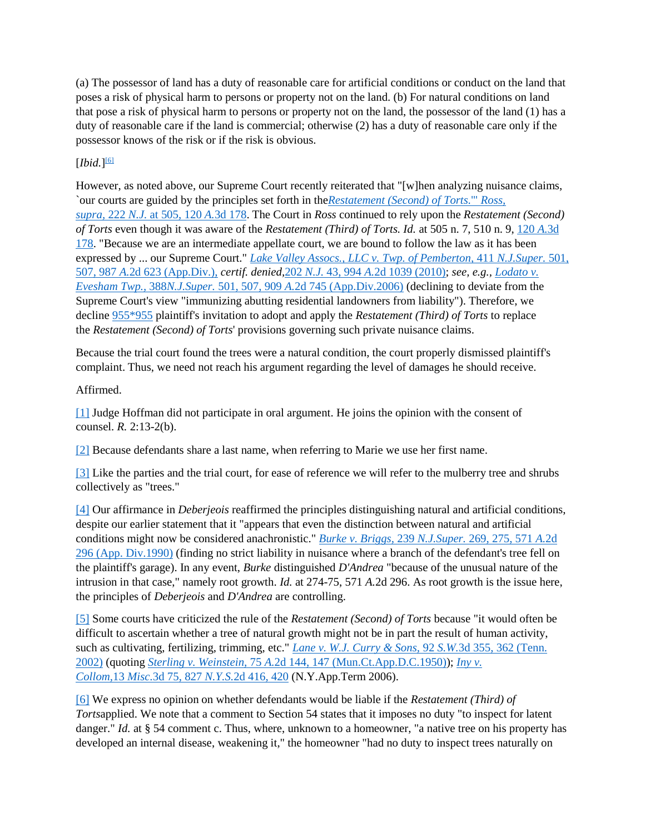(a) The possessor of land has a duty of reasonable care for artificial conditions or conduct on the land that poses a risk of physical harm to persons or property not on the land. (b) For natural conditions on land that pose a risk of physical harm to persons or property not on the land, the possessor of the land (1) has a duty of reasonable care if the land is commercial; otherwise (2) has a duty of reasonable care only if the possessor knows of the risk or if the risk is obvious.

## $[Ibid.]^{\boxed{6}}$

However, as noted above, our Supreme Court recently reiterated that "[w]hen analyzing nuisance claims, `our courts are guided by the principles set forth in the*[Restatement \(Second\) of Torts.](https://scholar.google.com/scholar_case?case=2043621961477717634&q=Scannavino+v.+Walsh&hl=en&as_sdt=6,31)*'" *Ross, supra,* 222 *N.J.* [at 505, 120](https://scholar.google.com/scholar_case?case=2043621961477717634&q=Scannavino+v.+Walsh&hl=en&as_sdt=6,31) *A.*3d 178. The Court in *Ross* continued to rely upon the *Restatement (Second) of Torts* even though it was aware of the *Restatement (Third) of Torts. Id.* at 505 n. 7, 510 n. 9, [120](https://scholar.google.com/scholar_case?case=2043621961477717634&q=Scannavino+v.+Walsh&hl=en&as_sdt=6,31) *A.*3d [178.](https://scholar.google.com/scholar_case?case=2043621961477717634&q=Scannavino+v.+Walsh&hl=en&as_sdt=6,31) "Because we are an intermediate appellate court, we are bound to follow the law as it has been expressed by ... our Supreme Court." *[Lake Valley Assocs., LLC v. Twp. of Pemberton,](https://scholar.google.com/scholar_case?case=15932729733032112632&q=Scannavino+v.+Walsh&hl=en&as_sdt=6,31)* 411 *N.J.Super.* 501, 507, 987 *A.*[2d 623 \(App.Div.\),](https://scholar.google.com/scholar_case?case=15932729733032112632&q=Scannavino+v.+Walsh&hl=en&as_sdt=6,31) *certif. denied,*202 *N.J.* 43, 994 *A.*[2d 1039 \(2010\);](https://scholar.google.com/scholar_case?case=16078439657782804251&q=Scannavino+v.+Walsh&hl=en&as_sdt=6,31) *see, e.g., [Lodato v.](https://scholar.google.com/scholar_case?case=17928545398682264515&q=Scannavino+v.+Walsh&hl=en&as_sdt=6,31)  Evesham Twp.,* 388*N.J.Super.* 501, 507, 909 *A.*[2d 745 \(App.Div.2006\)](https://scholar.google.com/scholar_case?case=17928545398682264515&q=Scannavino+v.+Walsh&hl=en&as_sdt=6,31) (declining to deviate from the Supreme Court's view "immunizing abutting residential landowners from liability"). Therefore, we decline [955\\*955](https://scholar.google.com/scholar_case?case=8966018736748328411&q=Scannavino+v.+Walsh&hl=en&as_sdt=6,31#p955) plaintiff's invitation to adopt and apply the *Restatement (Third) of Torts* to replace the *Restatement (Second) of Torts*' provisions governing such private nuisance claims.

Because the trial court found the trees were a natural condition, the court properly dismissed plaintiff's complaint. Thus, we need not reach his argument regarding the level of damages he should receive.

## Affirmed.

[\[1\]](https://scholar.google.com/scholar_case?case=8966018736748328411&q=Scannavino+v.+Walsh&hl=en&as_sdt=6,31#r[1]) Judge Hoffman did not participate in oral argument. He joins the opinion with the consent of counsel. *R.* 2:13-2(b).

[\[2\]](https://scholar.google.com/scholar_case?case=8966018736748328411&q=Scannavino+v.+Walsh&hl=en&as_sdt=6,31#r[2]) Because defendants share a last name, when referring to Marie we use her first name.

[\[3\]](https://scholar.google.com/scholar_case?case=8966018736748328411&q=Scannavino+v.+Walsh&hl=en&as_sdt=6,31#r[3]) Like the parties and the trial court, for ease of reference we will refer to the mulberry tree and shrubs collectively as "trees."

[\[4\]](https://scholar.google.com/scholar_case?case=8966018736748328411&q=Scannavino+v.+Walsh&hl=en&as_sdt=6,31#r[4]) Our affirmance in *Deberjeois* reaffirmed the principles distinguishing natural and artificial conditions, despite our earlier statement that it "appears that even the distinction between natural and artificial conditions might now be considered anachronistic." *[Burke v. Briggs,](https://scholar.google.com/scholar_case?case=3709064260370033553&q=Scannavino+v.+Walsh&hl=en&as_sdt=6,31)* 239 *N.J.Super.* 269, 275, 571 *A.*2d [296 \(App. Div.1990\)](https://scholar.google.com/scholar_case?case=3709064260370033553&q=Scannavino+v.+Walsh&hl=en&as_sdt=6,31) (finding no strict liability in nuisance where a branch of the defendant's tree fell on the plaintiff's garage). In any event, *Burke* distinguished *D'Andrea* "because of the unusual nature of the intrusion in that case," namely root growth. *Id.* at 274-75, 571 *A.*2d 296. As root growth is the issue here, the principles of *Deberjeois* and *D'Andrea* are controlling.

[\[5\]](https://scholar.google.com/scholar_case?case=8966018736748328411&q=Scannavino+v.+Walsh&hl=en&as_sdt=6,31#r[5]) Some courts have criticized the rule of the *Restatement (Second) of Torts* because "it would often be difficult to ascertain whether a tree of natural growth might not be in part the result of human activity, such as cultivating, fertilizing, trimming, etc." *[Lane v. W.J. Curry & Sons,](https://scholar.google.com/scholar_case?case=4952041742266738718&q=Scannavino+v.+Walsh&hl=en&as_sdt=6,31)* 92 *S.W.*3d 355, 362 (Tenn. [2002\)](https://scholar.google.com/scholar_case?case=4952041742266738718&q=Scannavino+v.+Walsh&hl=en&as_sdt=6,31) (quoting *Sterling v. Weinstein,* 75 *A.*[2d 144, 147 \(Mun.Ct.App.D.C.1950\)\)](https://scholar.google.com/scholar_case?case=15983485169392915447&q=Scannavino+v.+Walsh&hl=en&as_sdt=6,31); *[Iny v.](https://scholar.google.com/scholar_case?case=5438504426652716032&q=Scannavino+v.+Walsh&hl=en&as_sdt=6,31)  Collom,*13 *Misc.*3d 75, 827 *N.Y.S.*[2d 416, 420](https://scholar.google.com/scholar_case?case=5438504426652716032&q=Scannavino+v.+Walsh&hl=en&as_sdt=6,31) (N.Y.App.Term 2006).

[\[6\]](https://scholar.google.com/scholar_case?case=8966018736748328411&q=Scannavino+v.+Walsh&hl=en&as_sdt=6,31#r[6]) We express no opinion on whether defendants would be liable if the *Restatement (Third) of Torts*applied. We note that a comment to Section 54 states that it imposes no duty "to inspect for latent danger." *Id.* at § 54 comment c. Thus, where, unknown to a homeowner, "a native tree on his property has developed an internal disease, weakening it," the homeowner "had no duty to inspect trees naturally on